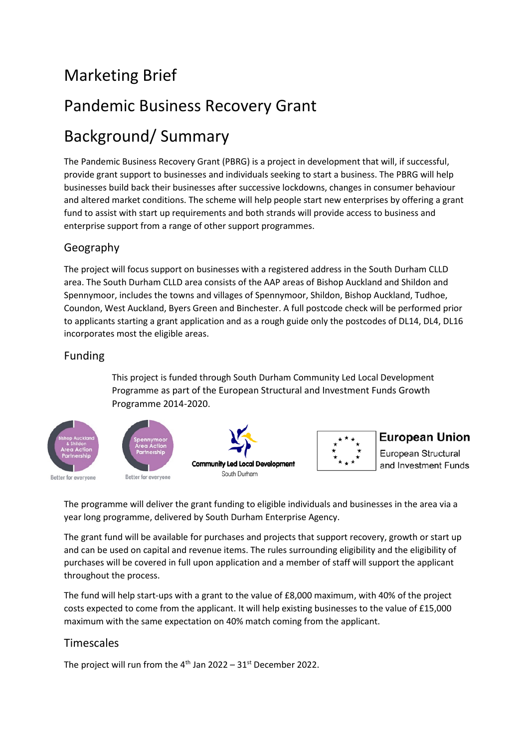# Marketing Brief

# Pandemic Business Recovery Grant

# Background/ Summary

The Pandemic Business Recovery Grant (PBRG) is a project in development that will, if successful, provide grant support to businesses and individuals seeking to start a business. The PBRG will help businesses build back their businesses after successive lockdowns, changes in consumer behaviour and altered market conditions. The scheme will help people start new enterprises by offering a grant fund to assist with start up requirements and both strands will provide access to business and enterprise support from a range of other support programmes.

### Geography

The project will focus support on businesses with a registered address in the South Durham CLLD area. The South Durham CLLD area consists of the AAP areas of Bishop Auckland and Shildon and Spennymoor, includes the towns and villages of Spennymoor, Shildon, Bishop Auckland, Tudhoe, Coundon, West Auckland, Byers Green and Binchester. A full postcode check will be performed prior to applicants starting a grant application and as a rough guide only the postcodes of DL14, DL4, DL16 incorporates most the eligible areas.

#### Funding

This project is funded through South Durham Community Led Local Development Programme as part of the European Structural and Investment Funds Growth Programme 2014-2020.



### **European Union**

European Structural and Investment Funds

The programme will deliver the grant funding to eligible individuals and businesses in the area via a year long programme, delivered by South Durham Enterprise Agency.

The grant fund will be available for purchases and projects that support recovery, growth or start up and can be used on capital and revenue items. The rules surrounding eligibility and the eligibility of purchases will be covered in full upon application and a member of staff will support the applicant throughout the process.

The fund will help start-ups with a grant to the value of £8,000 maximum, with 40% of the project costs expected to come from the applicant. It will help existing businesses to the value of £15,000 maximum with the same expectation on 40% match coming from the applicant.

### Timescales

The project will run from the  $4<sup>th</sup>$  Jan 2022 – 31<sup>st</sup> December 2022.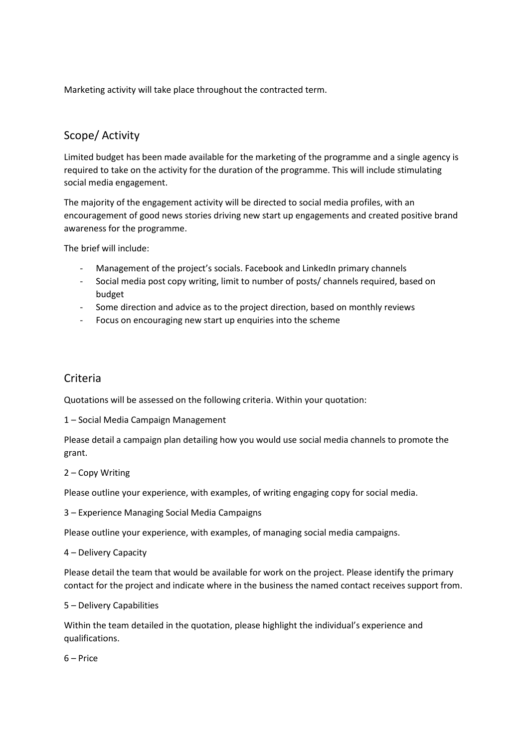Marketing activity will take place throughout the contracted term.

### Scope/ Activity

Limited budget has been made available for the marketing of the programme and a single agency is required to take on the activity for the duration of the programme. This will include stimulating social media engagement.

The majority of the engagement activity will be directed to social media profiles, with an encouragement of good news stories driving new start up engagements and created positive brand awareness for the programme.

The brief will include:

- Management of the project's socials. Facebook and LinkedIn primary channels
- Social media post copy writing, limit to number of posts/ channels required, based on budget
- Some direction and advice as to the project direction, based on monthly reviews
- Focus on encouraging new start up enquiries into the scheme

#### Criteria

Quotations will be assessed on the following criteria. Within your quotation:

1 – Social Media Campaign Management

Please detail a campaign plan detailing how you would use social media channels to promote the grant.

#### 2 – Copy Writing

Please outline your experience, with examples, of writing engaging copy for social media.

3 – Experience Managing Social Media Campaigns

Please outline your experience, with examples, of managing social media campaigns.

4 – Delivery Capacity

Please detail the team that would be available for work on the project. Please identify the primary contact for the project and indicate where in the business the named contact receives support from.

#### 5 – Delivery Capabilities

Within the team detailed in the quotation, please highlight the individual's experience and qualifications.

6 – Price